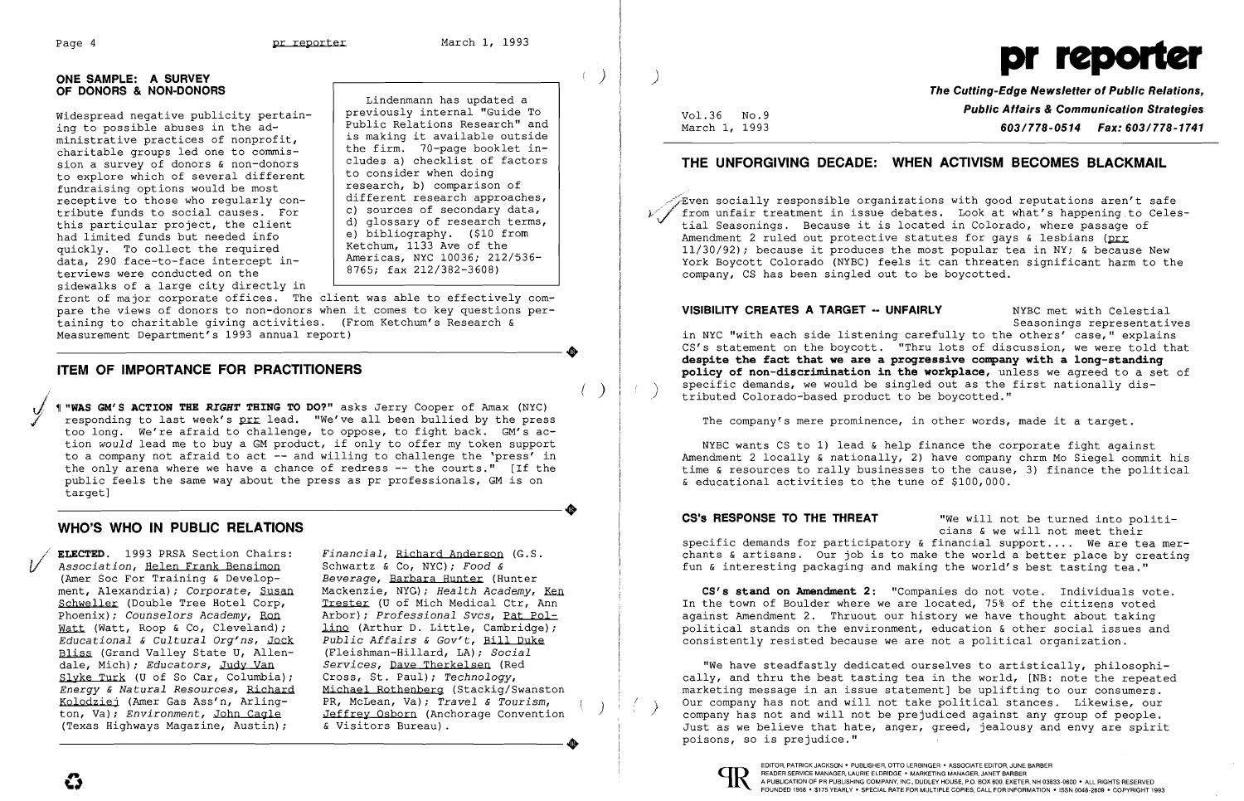**•** 

**•** 

### **ONE SAMPLE: A SURVEY** ) **OF DONORS & NON-DONORS**

Widespread negative publicity pertain-<br>ing to possible abuses in the ad-<br>ministrative practices of nonprofit,<br>is making it available outside ministrative practices of nonprofite,<br>charitable groups led one to commis-<br>cludes a) checklist of factors sion a survey of donors  $\kappa$  non-donors  $\kappa$  cludes a) checklist of to explore which of several different fundraising options would be most rundraising options would be most<br>receptive to those who regularly con- | different research approaches, tribute funds to social causes. For this particular project, the client  $\begin{array}{c|c} d & d \end{array}$  glossary of research term<br>had limited funds but needed info had limited funds but needed info delephabliography. (\$10 from e) bibliography. (\$10 from e) had limited and the  $\begin{array}{c|c|c|c|c|c} \text{Equation 1:} & \text{Equation 2:} & \text{Equation 3:} & \text{Equation 4:} & \text{Equation 5:} \\ \text{Equation 1:} & \text{Equation 2:} & \text{Equation 5:} & \text{Equation 6:} & \text{Equation 7:} & \text{Equation 8:} & \text{Equation 8:} & \text{Equation 8:} \\ \text{Equation 1:} & \text{Equation 8:} & \text{Equation 8:} & \text{Equation 8:} & \text{Equation 8:} & \text{Equation 8:} & \text{Equation 8:} & \text{$ terviews were conducted on the

front of major corporate offices. The client was able to effectively compare the views of donors to non-donors when it comes to key questions per taining to charitable giving activities. (From Ketchum's Research & Measurement Department's 1993 annual report)

sidewalks of a large city directly in

Lindenmann has updated a<br>previously internal "Guide To research, b) comparison of<br>different research approaches, c) sources of secondary data,<br>d) glossary of research terms,

## **ITEM OF IMPORTANCE FOR PRACTITIONERS**

( ) *J/* '1 **"WAS GM'S ACTION THE** *RIGHT* **THING TO DO?"** asks Jerry Cooper of Amax (NYC) responding to last week's prr lead. "We've all been bullied by the press too long. We're afraid to challenge, to oppose, to fight back. GM's action *would* lead me to buy a GM product, if only to offer my token support to a company not afraid to act -- and willing to challenge the 'press' in the only arena where we have a chance of redress **--** the courts." [If the public feels the same way about the press as pr professionals, GM is on target]

 $\sqrt{z}$ ven socially responsible organizations with good reputations aren't safe from unfair treatment in issue debates. Look at what's happening to Celestial Seasonings. Because it is located in Colorado, where passage of Amendment 2 ruled out protective statutes for gays  $\&$  lesbians (prr 11/30/92); because it produces the most popular tea in NY; & because New York Boycott Colorado (NYBC) feels it can threaten significant harm to the company, CS has been singled out to be boycotted.

**VISIBILITY CREATES A TARGET -- UNFAIRLY** NYBC met with Celestial Seasonings representatives in NYC "with each side listening carefully to the others' case," explains CS's statement on the boycott. "Thru lots of discussion, we were told that **despite the fact that we are a progressive company with a long-standing policy of non-discrimination in the workplace,** unless we agreed to a set of specific demands, we would be singled out as the first nationally dis-<br>tributed Colorado-based product to be boycotted."

## **WHO'S WHO IN PUBLIC RELATIONS**

**ELECTED.** 1993 PRSA Section Chairs: *Financial, Richard Anderson* (G.S. *Association, Helen Frank Bensimon* Schwartz & Co, NYC); *Food &* (Amer Soc For Training & Develop- *Beverage, Barbara Hunter* (Hunter) Association, Helen Frank Bensimon (Amer Soc For Training & Develop-<br>ment, Alexandria); Corporate, Susan ment, Alexandria); *Corporate*, Susan Mackenzie, NYG); *Health Academy*, <u>Ken</u><br>Schweller (Double Tree Hotel Corp, Trester (U of Mich Medical Ctr, Ann Schweller (Double Tree Hotel Corp, Trester (U of Mich Medical Ctr, Ann Phoenix); Counselors Academy, Ron Arbor); Professional Svcs, Pat Pol-Watt (Watt, Roop & Co, Cleveland); <br>Educational & Cultural Org'ns, Jock Public Affairs & Gov't, Bill Duke *Educational & Cultural Org'ns, Jock Public Affairs & Gov't, Bill Duk*<br>Bliss (Grand Valley State U, Allen- (Fleishman-Hillard, LA); Social Bliss (Grand Valley State U, Allen- (Fleishman-Hillard, LA); *Social* dale, Mich); *Educators*, Judy Van Services, Dave Therkelsen (Red dale, Mich); *Educators*, <u>Judy Van</u> *Services*, <u>Dave Therkelsen</u> (Red Slyke Turk (U of So Car, Columbia); Cross, St. Paul); Technology, Slyke Turk (U of So Car, Columbia);<br>*Energy & Natural Resources*, Richard *Energy* & *Natural Resources,* Richard Michael Rothenberg (Stackig/Swanston Kolodziej (Amer Gas Ass'n, Arling-<br>
ton, Va); *Environment*, John Cagle Jeffrey Osborn (Anchorage Convention<br>
(Texas Highways Magazine, Austin); & Visitors Bureau). (Texas Highways Magazine, Austin);

Financial, Richard Anderson (G.S. Arbor); *Professional Svcs*, <u>Pat Pol-</u> Kolodziej (Amer Gas Ass'n, Arling-<br>ton, Va); Environment, John Cagle<br>(Texas Highways Magazine, Austin); & Visitors Bureau).



**The Cutting-Edge Newsletter of Public Relations, Vol.36 No.9**<br>March 1, 1993 **Public Affairs & Communication Strategies**<br>**603/778-0514 Fax: 603/778-1741** March 1, 1993 **603/778-0514 Fax: 603/778-1741** 

## **THE UNFORGIVING DECADE: WHEN ACTIVISM BECOMES BLACKMAIL**

The company's mere prominence, in other words, made it a target.

NYBC wants CS to 1) lead & help finance the corporate fight against Amendment 2 locally & nationally, 2) have company chrm Mo Siegel commit his time & resources to rally businesses to the cause, 3) finance the political & educational activities to the tune of \$100,000.

**CS's RESPONSE TO THE THREAT** "We will not be turned into politicians & we will not meet their specific demands for participatory & financial **support ....** We are tea merchants & artisans. Our job is to make the world a better place by creating fun & interesting packaging and making the world's best tasting tea."

**CS's stand on Amendment 2:** "Companies do not vote. Individuals vote. In the town of Boulder where we are located, 75% of the citizens voted against Amendment 2. Thruout our history we have thought about taking political stands on the environment, education & other social issues and consistently resisted because we are not a political organization.

"We have steadfastly dedicated ourselves to artistically, philosophically, and thru the best tasting tea in the world, [NB: note the repeated marketing message in an issue statement] be uplifting to our consumers.<br>Our company has not and will not take political stances. Likewise, our company has not and will not be prejudiced against any group of people. Just as we believe that hate, anger, greed, jealousy and envy are spirit poisons, so is prejudice."